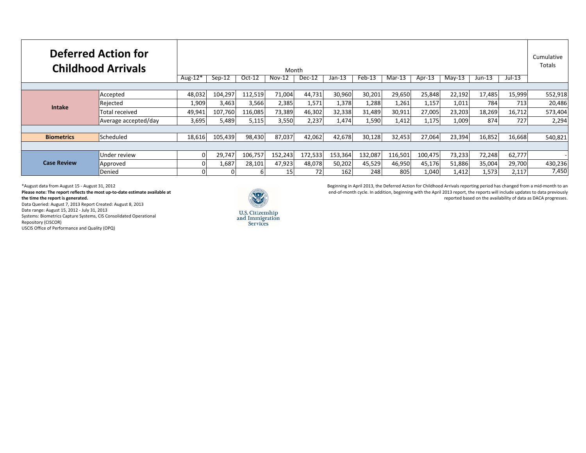| <b>Deferred Action for</b><br><b>Childhood Arrivals</b> |                      | Aug- $12*$ | $Sep-12$ | $Oct-12$ | Month<br>$Nov-12$ | $Dec-12$ | $Jan-13$ | $Feb-13$ | $Mar-13$ | Apr-13  | $Mav-13$ | $Jun-13$ | $Jul-13$ | Cumulative<br>Totals |
|---------------------------------------------------------|----------------------|------------|----------|----------|-------------------|----------|----------|----------|----------|---------|----------|----------|----------|----------------------|
|                                                         |                      |            |          |          |                   |          |          |          |          |         |          |          |          |                      |
| <b>Intake</b>                                           | Accepted             | 48,032     | 104,297  | 112,519  | 71,004            | 44,731   | 30,960   | 30,201   | 29,650   | 25,848  | 22,192   | 17,485   | 15,999   | 552,918              |
|                                                         | Rejected             | 1,909      | 3,463    | 3,566    | 2,385             | 1,571    | 1,378    | 1,288    | 1,261    | 1,157   | 1,011    | 784      | 713      | 20,486               |
|                                                         | Total received       | 49,941     | 107,760  | 116,085  | 73,389            | 46,302   | 32,338   | 31,489   | 30,911   | 27,005  | 23,203   | 18,269   | 16,712   | 573,404              |
|                                                         | Average accepted/day | 3,695      | 5,489    | 5,115    | 3,550             | 2,237    | 1,474    | 1,590    | 1,412    | 1,175   | 1,009    | 874      | 727      | 2,294                |
|                                                         |                      |            |          |          |                   |          |          |          |          |         |          |          |          |                      |
| <b>Biometrics</b>                                       | Scheduled            | 18,616     | 105,439  | 98,430   | 87,037            | 42,062   | 42,678   | 30,128   | 32,453   | 27,064  | 23,394   | 16,852   | 16,668   | 540,821              |
|                                                         |                      |            |          |          |                   |          |          |          |          |         |          |          |          |                      |
| <b>Case Review</b>                                      | Under review         |            | 29,747   | 106,757  | 152,243           | 172,533  | 153,364  | 132,087  | 116,501  | 100,475 | 73,233   | 72,248   | 62,777   |                      |
|                                                         | Approved             |            | 1,687    | 28,101   | 47,923            | 48,078   | 50,202   | 45,529   | 46,950   | 45,176  | 51,886   | 35,004   | 29,700   | 430,236              |
|                                                         | Denied               |            |          |          | 15                | 72       | 162      | 248      | 805      | 1,040   | 1,412    | 1,573    | 2,117    | 7,450                |

Beginning in April 2013, the Deferred Action for Childhood Arrivals reporting period has changed from <sup>a</sup> mid‐month to an end‐of‐month cycle. In addition, beginning with the April 2013 report, the reports will include updates to data previously reported based on the availability of data as DACA progresses.

\*August data from August 15 ‐ August 31, 2012 **Please note: The report reflects the most up‐to‐date estimate available at the time the report is generated.** Data Queried: August 7, 2013 Report Created: August 8, 2013 Date range: August 15, 2012 ‐ July 31, 2013 Systems: Biometrics Capture Systems, CIS Consolidated Operational Repository (CISCOR)

USCIS Office of Performance and Quality (OPQ)